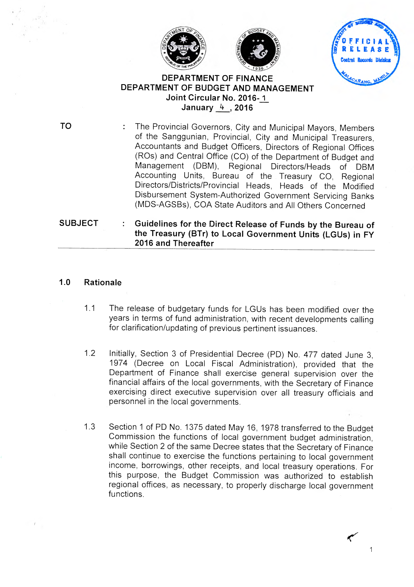





#### **DEPARTMENT OF FINANCE DEPARTMENT OF BUDGET AND MANAGEMENT JEPARTMENT OF FINANCE<br>INT OF BUDGET AND MANA<br>Joint Circular No. 2016-1 January** 4. , **2016**

**TO** The Provincial Governors, City and Municipal Mayors, Members of the Sanggunian, Provincial, City and Municipal Treasurers, Accountants and Budget Officers, Directors of Regional Offices (R0s) and Central Office (CO) of the Department of Budget and Management (DBM), Regional Directors/Heads of DBM Accounting Units, Bureau of the Treasury CO, Regional Directors/Districts/Provincial Heads, Heads of the Modified Disbursement System-Authorized Government Servicing Banks (MDS-AGSBs), COA State Auditors and All Others Concerned

#### SUBJECT : Guidelines for the Direct Release of Funds by the Bureau of **the Treasury (BTr) to Local Government Units (LGUs) in FY 2016 and Thereafter**

## **1.0 Rationale**

- 1.1 The release of budgetary funds for LGUs has been modified over the years in terms of fund administration, with recent developments calling for clarification/updating of previous pertinent issuances.
- 1.2 Initially, Section 3 of Presidential Decree (PD) No. 477 dated June 3, 1974 (Decree on Local Fiscal Administration), provided that the Department of Finance shall exercise general supervision over the financial affairs of the local governments, with the Secretary of Finance exercising direct executive supervision over all treasury officials and personnel in the local governments.
- 1.3 Section 1 of PD No. 1375 dated May 16, 1978 transferred to the Budget Commission the functions of local government budget administration, while Section 2 of the same Decree states that the Secretary of Finance shall continue to exercise the functions pertaining to local government income, borrowings, other receipts, and local treasury operations. For this purpose, the Budget Commission was authorized to establish regional offices, as necessary, to properly discharge local government functions.

 $\mathcal{L}$ 1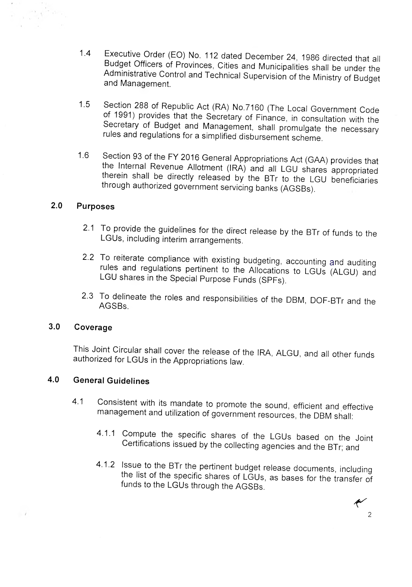- 1.4 Executive Order (EO) No. 112 dated December 24, 1986 directed that all Budget Officers of Provinces, Cities and Municipalities shall be under the Administrative Control and Technical Supervision of the Ministry of Budget and Management.
- 1.5 Section 288 of Republic Act (RA) No.7160 (The Local Government Code of 1991) provides that the Secretary of Finance, in consultation with the Secretary of Budget and Management, shall promulgate the necessary rules and regulations for a simplified disbursement scheme.
- 1.6 Section 93 of the FY 2016 General Appropriations Act (GAA) provides that the Internal Revenue Allotment (IRA) and all LGU shares appropriated therein shall be directly released by the BTr to the LGU beneficiaries through authorized government servicing banks (AGSBs).

#### **2.0 Purposes**

- 2.1 To provide the guidelines for the direct release by the BTr of funds to the LGUs, including interim arrangements.
- 2.2 To reiterate compliance with existing budgeting, accounting and auditing rules and regulations pertinent to the Allocations to LGUs (ALGU) and LGU shares in the Special Purpose Funds (SPFs).
- 2.3 To delineate the roles and responsibilities of the DBM, DOF-BTr and the AGSBs.

#### **3.0 Coverage**

 $\overline{\phantom{a}}$ 

This Joint Circular shall cover the release of the IRA, ALGU, and all other funds authorized for LGUs in the Appropriations law.

## **4.0 General Guidelines**

- 4.1 Consistent with its mandate to promote the sound, efficient and effective management and utilization of government resources, the DBM shall:
	- 4.1.1 Compute the specific shares of the LGUs based on the Joint Certifications issued by the collecting agencies and the BTr; and
	- 4.1.2 Issue to the BTr the pertinent budget release documents, including the list of the specific shares of LGUs, as bases for the transfer of funds to the LGUs through the AGSBs.

2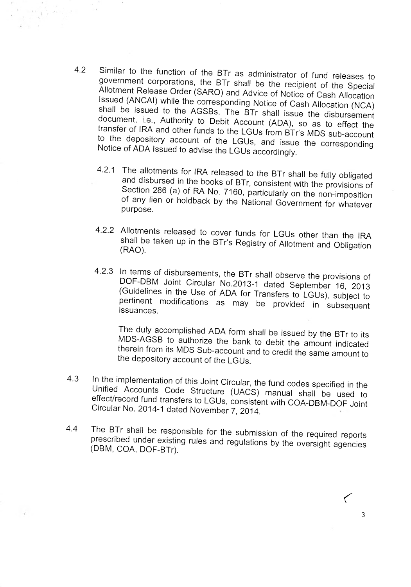- 4.2 Similar to the function of the BTr as administrator of fund releases to government corporations, the BTr shall be the recipient of the Special Allotment Release Order (SARO) and Advice of Notice of Cash Allocation Issued (ANCAI) while the corresponding Notice of Cash Allocation (NCA) shall be issued to the AGSBs. The BTr shall issue the disbursement document, i.e., Authority to Debit Account (ADA), so as to effect the transfer of IRA and other funds to the LGUs from BTr's MDS sub-account to the depository account of the LGUs, and issue the corresponding Notice of ADA Issued to advise the LGUs accordingly.
	- 4.2.1 The allotments for IRA released to the BTr shall be fully obligated and disbursed in the books of BTr, consistent with the provisions of Section 286 (a) of RA No. 7160, particularly on the non-imposition of any lien or holdback by the National Government for whatever purpose.
	- 4.2.2 Allotments released to cover funds for LGUs other than the IRA shall be taken up in the BTr's Registry of Allotment and Obligation (RAO).
	- 4.2.3 In terms of disbursements, the BTr shall observe the provisions of DOF-DBM Joint Circular No.2013-1 dated September 16, 2013 (Guidelines in the Use of ADA for Transfers to LGUs), subject to pertinent modifications as may be provided in subsequent issuances.

The duly accomplished ADA form shall be issued by the BTr to its MDS-AGSB to authorize the bank to debit the amount indicated therein from its MDS Sub-account and to credit the same amount to the depository account of the LGUs.

- 4.3 In the implementation of this Joint Circular, the fund codes specified in the Unified Accounts Code Structure (UACS) manual shall be used to effect/record fund transfers to LGUs, consistent with COA-DBM-DOF Joint Circular No. 2014-1 dated November 7, 2014.
- 4.4 The BTr shall be responsible for the submission of the required reports prescribed under existing rules and regulations by the oversight agencies (DBM, COA, DOF-BTr).

 $\left($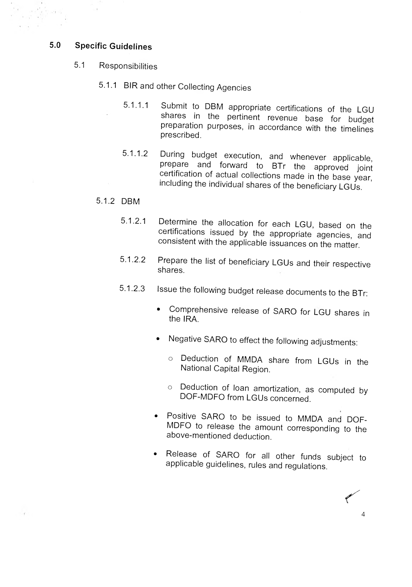#### **5.0 Specific Guidelines**

- 5.1 Responsibilities
	- 5.1.1 BIR and other Collecting Agencies
		- 5.1.1.1 Submit to DBM appropriate certifications of the LGU shares in the pertinent revenue base for budget preparation purposes, in accordance with the timelines prescribed.
		- 5.1.1.2 During budget execution, and whenever applicable, prepare and forward to BTr the approved joint certification of actual collections made in the base year, including the individual shares of the beneficiary LGUs.

#### 5.1.2 DBM

 $\mathcal{A}$ 

- 5.1.2.1 Determine the allocation for each LGU, based on the certifications issued by the appropriate agencies, and consistent with the applicable issuances on the matter.
- 5.1.2.2 Prepare the list of beneficiary LGUs and their respective shares.
- 5.1.2.3 Issue the following budget release documents to the BTr:
	- Comprehensive release of SARO for LGU shares in the IRA.
	- Negative SARO to effect the following adjustments:
		- o Deduction of MMDA share from LGUs in the National Capital Region.
		- o Deduction of loan amortization, as computed by DOF-MDFO from LGUs concerned.
	- Positive SARO to be issued to MMDA and DOF-MDFO to release the amount corresponding to the above-mentioned deduction.
	- Release of SARO for all other funds subject to applicable guidelines, rules and regulations.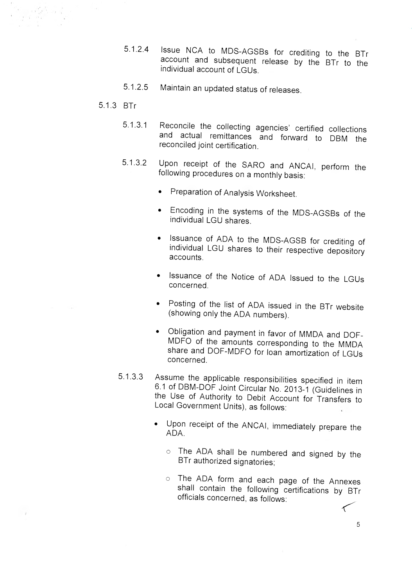- 5.1.2.4 Issue NCA to MDS-AGSBs for crediting to the BTr account and subsequent release by the BTr to the individual account of LGUs.
- 5.1.2.5 Maintain an updated status of releases.
- 5.1.3 BTr

 $\lambda$ 

- 5.1.3.1 Reconcile the collecting agencies' certified collections and actual remittances and forward to DBM the reconciled joint certification.
- 5.1.3.2 Upon receipt of the SARO and ANCAI, perform the following procedures on a monthly basis:
	- Preparation of Analysis Worksheet.
	- Encoding in the systems of the MDS-AGSBs of the individual LGU shares.
	- Issuance of ADA to the MDS-AGSB for crediting of individual LGU shares to their respective depository accounts.
	- Issuance of the Notice of ADA Issued to the LGUs concerned.
	- Posting of the list of ADA issued in the BTr website (showing only the ADA numbers).
	- Obligation and payment in favor of MMDA and DOF-MDFO of the amounts corresponding to the MMDA share and DOF-MDFO for loan amortization of LGUs concerned.
- 5.1.3.3 Assume the applicable responsibilities specified in item 6.1 of DBM-DOF Joint Circular No. 2013-1 (Guidelines in the Use of Authority to Debit Account for Transfers to Local Government Units), as follows:
	- Upon receipt of the ANCAI, immediately prepare the ADA.
		- o The ADA shall be numbered and signed by the BTr authorized signatories;
		- o The ADA form and each page of the Annexes shall contain the following certifications by BTr officials concerned, as follows:

5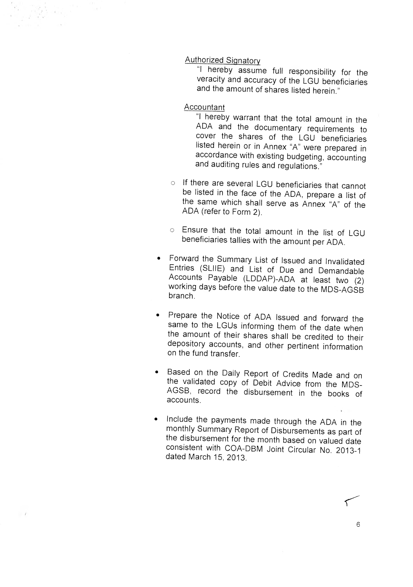#### Authorized Signatory

"I hereby assume full responsibility for the veracity and accuracy of the LGU beneficiaries and the amount of shares listed herein."

#### Accountant

"I hereby warrant that the total amount in the ADA and the documentary requirements to cover the shares of the LGU beneficiaries listed herein or in Annex "A" were prepared in accordance with existing budgeting, accounting and auditing rules and regulations."

- o If there are several LGU beneficiaries that cannot be listed in the face of the ADA, prepare a list of the same which shall serve as Annex "A" of the ADA (refer to Form 2).
- o Ensure that the total amount in the list of LGU beneficiaries tallies with the amount per ADA.
- Forward the Summary List of Issued and Invalidated Entries (SLIIE) and List of Due and Demandable Accounts Payable (LDDAP)-ADA at least two (2) working days before the value date to the MDS-AGSB branch.
- Prepare the Notice of ADA Issued and forward the same to the LGUs informing them of the date when the amount of their shares shall be credited to their depository accounts, and other pertinent information on the fund transfer.
- Based on the Daily Report of Credits Made and on the validated copy of Debit Advice from the MDS-AGSB, record the disbursement in the books of accounts.
- Include the payments made through the ADA in the monthly Summary Report of Disbursements as part of the disbursement for the month based on valued date consistent with COA-DBM Joint Circular No. 2013-1 dated March 15, 2013.

 $\overline{f}$ 

6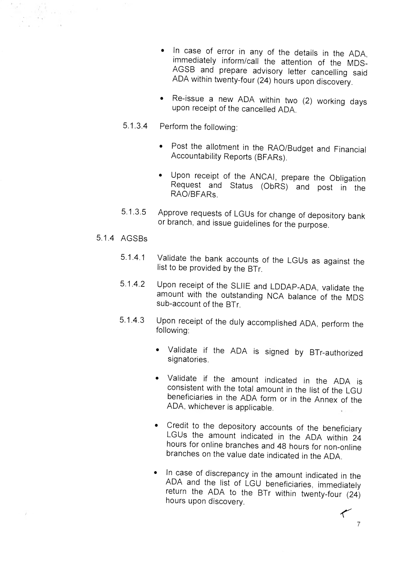- In case of error in any of the details in the ADA, immediately inform/call the attention of the MDS-AGSB and prepare advisory letter cancelling said ADA within twenty-four (24) hours upon discovery.
- Re-issue a new ADA within two (2) working days upon receipt of the cancelled ADA.
- 5.1.3.4 Perform the following:
	- Post the allotment in the RAO/Budget and Financial Accountability Reports (BFARs).
	- Upon receipt of the ANCAI, prepare the Obligation Request and Status (ObRS) and post in the RAO/BFARs.
- 5.1.3.5 Approve requests of LGUs for change of depository bank or branch, and issue guidelines for the purpose.

#### 5.1.4 AGSBs

- 5.1.4.1 Validate the bank accounts of the LGUs as against the list to be provided by the BTr.
- 5.1.4.2 Upon receipt of the SLIIE and LDDAP-ADA, validate the amount with the outstanding NCA balance of the MDS sub-account of the BTr.
- 5.1.4.3 Upon receipt of the duly accomplished ADA, perform the following:
	- Validate if the ADA is signed by BTr-authorized signatories.
	- Validate if the amount indicated in the ADA is consistent with the total amount in the list of the LGU beneficiaries in the ADA form or in the Annex of the ADA, whichever is applicable.
	- Credit to the depository accounts of the beneficiary LGUs the amount indicated in the ADA within 24 hours for online branches and 48 hours for non-online branches on the value date indicated in the ADA.
	- In case of discrepancy in the amount indicated in the ADA and the list of LGU beneficiaries, immediately return the ADA to the BTr within twenty-four (24) hours upon discovery.

 $\tau$